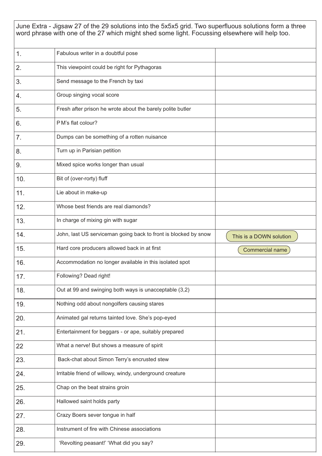June Extra - Jigsaw 27 of the 29 solutions into the 5x5x5 grid. Two superfluous solutions form a three word phrase with one of the 27 which might shed some light. Focussing elsewhere will help too.

| 1.  | Fabulous writer in a doubtful pose                              |                         |
|-----|-----------------------------------------------------------------|-------------------------|
| 2.  | This viewpoint could be right for Pythagoras                    |                         |
| 3.  | Send message to the French by taxi                              |                         |
| 4.  | Group singing vocal score                                       |                         |
| 5.  | Fresh after prison he wrote about the barely polite butler      |                         |
| 6.  | PM's flat colour?                                               |                         |
| 7.  | Dumps can be something of a rotten nuisance                     |                         |
| 8.  | Turn up in Parisian petition                                    |                         |
| 9.  | Mixed spice works longer than usual                             |                         |
| 10. | Bit of (over-rorty) fluff                                       |                         |
| 11. | Lie about in make-up                                            |                         |
| 12. | Whose best friends are real diamonds?                           |                         |
| 13. | In charge of mixing gin with sugar                              |                         |
| 14. | John, last US serviceman going back to front is blocked by snow | This is a DOWN solution |
| 15. | Hard core producers allowed back in at first                    | Commercial name         |
| 16. | Accommodation no longer available in this isolated spot         |                         |
| 17. | Following? Dead right!                                          |                         |
| 18. | Out at 99 and swinging both ways is unacceptable (3,2)          |                         |
| 19. |                                                                 |                         |
|     | Nothing odd about nongolfers causing stares                     |                         |
| 20. | Animated gal returns tainted love. She's pop-eyed               |                         |
| 21. | Entertainment for beggars - or ape, suitably prepared           |                         |
| 22  | What a nerve! But shows a measure of spirit                     |                         |
| 23. | Back-chat about Simon Terry's encrusted stew                    |                         |
| 24. | Irritable friend of willowy, windy, underground creature        |                         |
| 25. | Chap on the beat strains groin                                  |                         |
| 26. | Hallowed saint holds party                                      |                         |
| 27. | Crazy Boers sever tongue in half                                |                         |
| 28. | Instrument of fire with Chinese associations                    |                         |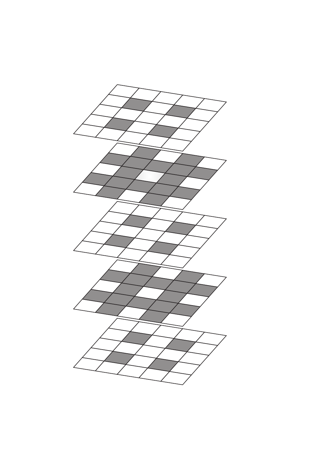